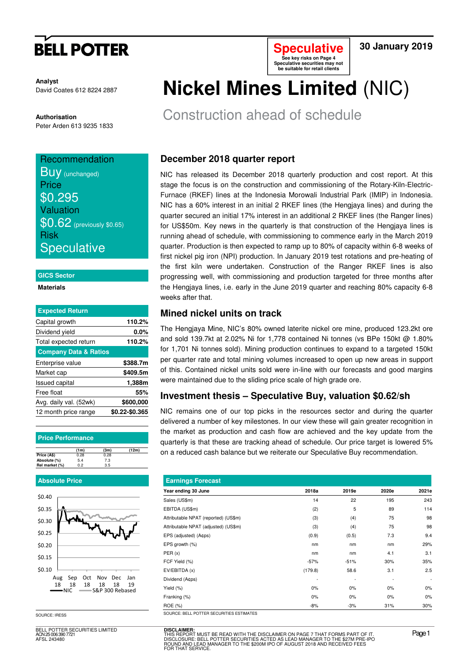# **BELL POTTER**

**Analyst** David Coates 612 8224 2887

**Authorisation**  Peter Arden 613 9235 1833

## **Recommendation BUV** (unchanged)

**Price** \$0.295 Valuation **\$0.62** (previously \$0.65) Risk **Speculative** 

#### **GICS Sector**

#### **Materials**

| <b>Expected Return</b>           |                |
|----------------------------------|----------------|
| Capital growth                   | 110.2%         |
| Dividend yield                   | 0.0%           |
| Total expected return            | 110.2%         |
| <b>Company Data &amp; Ratios</b> |                |
| Enterprise value                 | \$388.7m       |
| Market cap                       | \$409.5m       |
| <b>Issued capital</b>            | 1,388m         |
| Free float                       | 55%            |
| Avg. daily val. (52wk)           | \$600,000      |
| 12 month price range             | \$0.22-\$0.365 |

#### **Price Performance**

|                | (1 <sub>m</sub> ) | (3m) | (12m) |
|----------------|-------------------|------|-------|
| Price (A\$)    | 0.28              | 0.28 |       |
| Absolute (%)   | 5.4               | 7.3  |       |
| Rel market (%) | 0.2               | 3.5  |       |

#### **Absolute Price**



SOURCE: IRESS

BELL POTTER SECURITIES LIMITED ACN 25 006 390 7721 AFSL 243480

# **Nickel Mines Limited** (NIC)

**Speculative See key risks on Page 4 Speculative securities may not be suitable for retail clients** 

Construction ahead of schedule

## **December 2018 quarter report**

NIC has released its December 2018 quarterly production and cost report. At this stage the focus is on the construction and commissioning of the Rotary-Kiln-Electric-Furnace (RKEF) lines at the Indonesia Morowali Industrial Park (IMIP) in Indonesia. NIC has a 60% interest in an initial 2 RKEF lines (the Hengjaya lines) and during the quarter secured an initial 17% interest in an additional 2 RKEF lines (the Ranger lines) for US\$50m. Key news in the quarterly is that construction of the Hengjaya lines is running ahead of schedule, with commissioning to commence early in the March 2019 quarter. Production is then expected to ramp up to 80% of capacity within 6-8 weeks of first nickel pig iron (NPI) production. In January 2019 test rotations and pre-heating of the first kiln were undertaken. Construction of the Ranger RKEF lines is also progressing well, with commissioning and production targeted for three months after the Hengjaya lines, i.e. early in the June 2019 quarter and reaching 80% capacity 6-8 weeks after that.

### **Mined nickel units on track**

The Hengjaya Mine, NIC's 80% owned laterite nickel ore mine, produced 123.2kt ore and sold 139.7kt at 2.02% Ni for 1,778 contained Ni tonnes (vs BPe 150kt @ 1.80% for 1,701 Ni tonnes sold). Mining production continues to expand to a targeted 150kt per quarter rate and total mining volumes increased to open up new areas in support of this. Contained nickel units sold were in-line with our forecasts and good margins were maintained due to the sliding price scale of high grade ore.

### **Investment thesis – Speculative Buy, valuation \$0.62/sh**

NIC remains one of our top picks in the resources sector and during the quarter delivered a number of key milestones. In our view these will gain greater recognition in the market as production and cash flow are achieved and the key update from the quarterly is that these are tracking ahead of schedule. Our price target is lowered 5% on a reduced cash balance but we reiterate our Speculative Buy recommendation.

| <b>Earnings Forecast</b>             |         |        |       |                          |
|--------------------------------------|---------|--------|-------|--------------------------|
| Year ending 30 June                  | 2018a   | 2019e  | 2020e | 2021e                    |
| Sales (US\$m)                        | 14      | 22     | 195   | 243                      |
| EBITDA (US\$m)                       | (2)     | 5      | 89    | 114                      |
| Attributable NPAT (reported) (US\$m) | (3)     | (4)    | 75    | 98                       |
| Attributable NPAT (adjusted) (US\$m) | (3)     | (4)    | 75    | 98                       |
| EPS (adjusted) (A¢ps)                | (0.9)   | (0.5)  | 7.3   | 9.4                      |
| EPS growth (%)                       | nm      | nm     | nm    | 29%                      |
| PER(x)                               | nm      | nm     | 4.1   | 3.1                      |
| FCF Yield (%)                        | $-57%$  | $-51%$ | 30%   | 35%                      |
| EV/EBITDA (x)                        | (179.8) | 58.6   | 3.1   | 2.5                      |
| Dividend (A¢ps)                      | ٠       |        |       | $\overline{\phantom{a}}$ |
| Yield (%)                            | 0%      | 0%     | $0\%$ | 0%                       |
| Franking (%)                         | $0\%$   | 0%     | $0\%$ | 0%                       |
| ROE (%)                              | -8%     | $-3%$  | 31%   | 30%                      |

**DISCLAIMER:** THIS REPORT MUST BE READ WITH THE DISCLAIMER ON PAGE 7 THAT FORMS PART OF IT.<br>DISCLOSURE: BELL POTTER SECURITIES ACTED AS LEAD MANAGER TO THE \$27M PRE-IPO<br>ROUND AND LEAD MANAGER TO THE \$200M IPO OF AUGUST 2018 AND RECEIVED

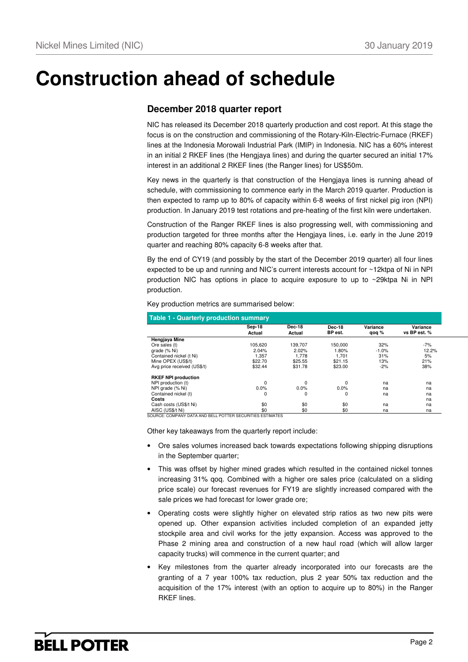## **Construction ahead of schedule**

### **December 2018 quarter report**

NIC has released its December 2018 quarterly production and cost report. At this stage the focus is on the construction and commissioning of the Rotary-Kiln-Electric-Furnace (RKEF) lines at the Indonesia Morowali Industrial Park (IMIP) in Indonesia. NIC has a 60% interest in an initial 2 RKEF lines (the Hengjaya lines) and during the quarter secured an initial 17% interest in an additional 2 RKEF lines (the Ranger lines) for US\$50m.

Key news in the quarterly is that construction of the Hengjaya lines is running ahead of schedule, with commissioning to commence early in the March 2019 quarter. Production is then expected to ramp up to 80% of capacity within 6-8 weeks of first nickel pig iron (NPI) production. In January 2019 test rotations and pre-heating of the first kiln were undertaken.

Construction of the Ranger RKEF lines is also progressing well, with commissioning and production targeted for three months after the Hengjaya lines, i.e. early in the June 2019 quarter and reaching 80% capacity 6-8 weeks after that.

By the end of CY19 (and possibly by the start of the December 2019 quarter) all four lines expected to be up and running and NIC's current interests account for ~12ktpa of Ni in NPI production NIC has options in place to acquire exposure to up to ~29ktpa Ni in NPI production.

Key production metrics are summarised below:

| <b>Table 1 - Quarterly production summary</b> |             |         |             |          |              |
|-----------------------------------------------|-------------|---------|-------------|----------|--------------|
|                                               | Sep-18      | Dec-18  | Dec-18      | Variance | Variance     |
|                                               | Actual      | Actual  | BP est.     | qoq %    | vs BP est. % |
| Hengjaya Mine                                 |             |         |             |          |              |
| Ore sales (t)                                 | 105.620     | 139.707 | 150.000     | 32%      | $-7%$        |
| grade (% Ni)                                  | 2.04%       | 2.02%   | 1.80%       | $-1.0%$  | 12.2%        |
| Contained nickel (t Ni)                       | 1,357       | 1,778   | 1.701       | 31%      | 5%           |
| Mine OPEX (US\$/t)                            | \$22.70     | \$25.55 | \$21.15     | 13%      | 21%          |
| Avg price received (US\$/t)                   | \$32.44     | \$31.78 | \$23.00     | $-2%$    | 38%          |
| <b>RKEF NPI production</b>                    |             |         |             |          |              |
| NPI production (t)                            | $\mathbf 0$ | 0       | $\mathbf 0$ | na       | na           |
| NPI grade (% Ni)                              | 0.0%        | 0.0%    | 0.0%        | na       | na           |
| Contained nickel (t)                          | 0           | 0       | 0           | na       | na           |
| Costs                                         |             |         |             |          | na           |
| Cash costs (US\$/t Ni)                        | \$0         | \$0     | \$0         | na       | na           |
| AISC (US\$/t Ni)                              | \$0         | \$0     | \$0         | na       | na           |

SOURCE: COMPANY DATA AND BELL POTTER SECURITIES ESTIMATES

Other key takeaways from the quarterly report include:

- Ore sales volumes increased back towards expectations following shipping disruptions in the September quarter;
- This was offset by higher mined grades which resulted in the contained nickel tonnes increasing 31% qoq. Combined with a higher ore sales price (calculated on a sliding price scale) our forecast revenues for FY19 are slightly increased compared with the sale prices we had forecast for lower grade ore;
- Operating costs were slightly higher on elevated strip ratios as two new pits were opened up. Other expansion activities included completion of an expanded jetty stockpile area and civil works for the jetty expansion. Access was approved to the Phase 2 mining area and construction of a new haul road (which will allow larger capacity trucks) will commence in the current quarter; and
- Key milestones from the quarter already incorporated into our forecasts are the granting of a 7 year 100% tax reduction, plus 2 year 50% tax reduction and the acquisition of the 17% interest (with an option to acquire up to 80%) in the Ranger RKEF lines.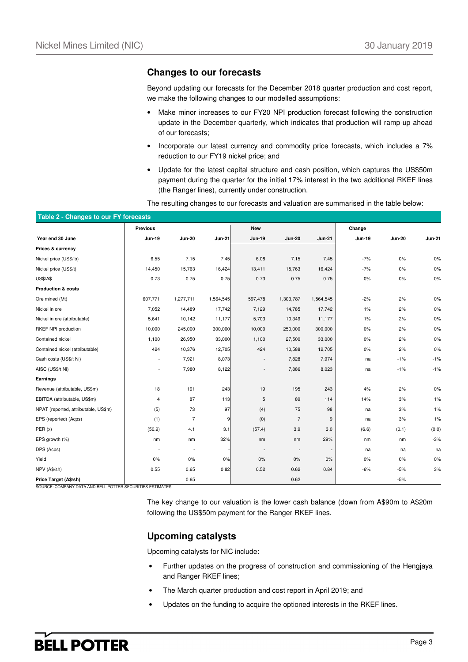### **Changes to our forecasts**

Beyond updating our forecasts for the December 2018 quarter production and cost report, we make the following changes to our modelled assumptions:

- Make minor increases to our FY20 NPI production forecast following the construction update in the December quarterly, which indicates that production will ramp-up ahead of our forecasts;
- Incorporate our latest currency and commodity price forecasts, which includes a 7% reduction to our FY19 nickel price; and
- Update for the latest capital structure and cash position, which captures the US\$50m payment during the quarter for the initial 17% interest in the two additional RKEF lines (the Ranger lines), currently under construction.

The resulting changes to our forecasts and valuation are summarised in the table below:

|                                      | <b>Previous</b>          |                |               | <b>New</b>    |                          |               | Change        |               |               |
|--------------------------------------|--------------------------|----------------|---------------|---------------|--------------------------|---------------|---------------|---------------|---------------|
| Year end 30 June                     | <b>Jun-19</b>            | <b>Jun-20</b>  | <b>Jun-21</b> | <b>Jun-19</b> | <b>Jun-20</b>            | <b>Jun-21</b> | <b>Jun-19</b> | <b>Jun-20</b> | <b>Jun-21</b> |
| Prices & currency                    |                          |                |               |               |                          |               |               |               |               |
| Nickel price (US\$/lb)               | 6.55                     | 7.15           | 7.45          | 6.08          | 7.15                     | 7.45          | $-7%$         | $0\%$         | 0%            |
| Nickel price (US\$/t)                | 14,450                   | 15,763         | 16,424        | 13,411        | 15,763                   | 16,424        | $-7%$         | 0%            | $0\%$         |
| <b>US\$/A\$</b>                      | 0.73                     | 0.75           | 0.75          | 0.73          | 0.75                     | 0.75          | 0%            | $0\%$         | $0\%$         |
| <b>Production &amp; costs</b>        |                          |                |               |               |                          |               |               |               |               |
| Ore mined (Mt)                       | 607,771                  | 1,277,711      | 1,564,545     | 597,478       | 1,303,787                | 1,564,545     | $-2%$         | 2%            | 0%            |
| Nickel in ore                        | 7,052                    | 14,489         | 17,742        | 7,129         | 14,785                   | 17,742        | 1%            | 2%            | $0\%$         |
| Nickel in ore (attributable)         | 5,641                    | 10,142         | 11,177        | 5,703         | 10,349                   | 11,177        | 1%            | 2%            | 0%            |
| RKEF NPI production                  | 10,000                   | 245,000        | 300,000       | 10,000        | 250,000                  | 300,000       | 0%            | 2%            | $0\%$         |
| Contained nickel                     | 1,100                    | 26,950         | 33,000        | 1,100         | 27,500                   | 33,000        | 0%            | 2%            | $0\%$         |
| Contained nickel (attributable)      | 424                      | 10,376         | 12,705        | 424           | 10,588                   | 12,705        | 0%            | 2%            | $0\%$         |
| Cash costs (US\$/t Ni)               |                          | 7,921          | 8,073         |               | 7,828                    | 7,974         | na            | $-1%$         | $-1%$         |
| AISC (US\$/t Ni)                     | $\overline{\phantom{a}}$ | 7,980          | 8,122         |               | 7,886                    | 8,023         | na            | $-1%$         | $-1%$         |
| Earnings                             |                          |                |               |               |                          |               |               |               |               |
| Revenue (attributable, US\$m)        | 18                       | 191            | 243           | 19            | 195                      | 243           | 4%            | 2%            | $0\%$         |
| EBITDA (attributable, US\$m)         | $\overline{4}$           | 87             | 113           | 5             | 89                       | 114           | 14%           | 3%            | 1%            |
| NPAT (reported, attributable, US\$m) | (5)                      | 73             | 97            | (4)           | 75                       | 98            | na            | 3%            | 1%            |
| EPS (reported) (Acps)                | (1)                      | $\overline{7}$ | 9             | (0)           | $\overline{7}$           | 9             | na            | 3%            | 1%            |
| PER(x)                               | (50.9)                   | 4.1            | 3.1           | (57.4)        | 3.9                      | 3.0           | (6.6)         | (0.1)         | (0.0)         |
| EPS growth (%)                       | nm                       | nm             | 32%           | nm            | nm                       | 29%           | nm            | nm            | $-3%$         |
| DPS (Acps)                           |                          | ÷              |               |               | $\overline{\phantom{a}}$ |               | na            | na            | na            |
| Yield                                | 0%                       | 0%             | 0%            | 0%            | 0%                       | 0%            | 0%            | $0\%$         | 0%            |
| NPV (A\$/sh)                         | 0.55                     | 0.65           | 0.82          | 0.52          | 0.62                     | 0.84          | -6%           | $-5%$         | 3%            |
| Price Target (A\$/sh)                |                          | 0.65           |               |               | 0.62                     |               |               | $-5%$         |               |

The key change to our valuation is the lower cash balance (down from A\$90m to A\$20m following the US\$50m payment for the Ranger RKEF lines.

### **Upcoming catalysts**

Upcoming catalysts for NIC include:

- Further updates on the progress of construction and commissioning of the Hengjaya and Ranger RKEF lines;
- The March quarter production and cost report in April 2019; and
- Updates on the funding to acquire the optioned interests in the RKEF lines.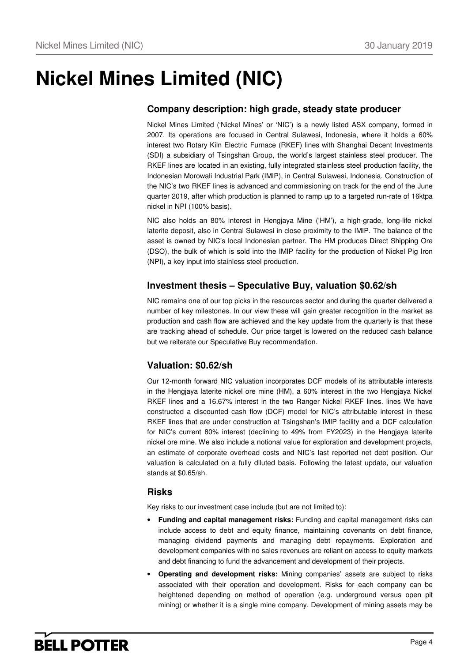# **Nickel Mines Limited (NIC)**

### **Company description: high grade, steady state producer**

Nickel Mines Limited ('Nickel Mines' or 'NIC') is a newly listed ASX company, formed in 2007. Its operations are focused in Central Sulawesi, Indonesia, where it holds a 60% interest two Rotary Kiln Electric Furnace (RKEF) lines with Shanghai Decent Investments (SDI) a subsidiary of Tsingshan Group, the world's largest stainless steel producer. The RKEF lines are located in an existing, fully integrated stainless steel production facility, the Indonesian Morowali Industrial Park (IMIP), in Central Sulawesi, Indonesia. Construction of the NIC's two RKEF lines is advanced and commissioning on track for the end of the June quarter 2019, after which production is planned to ramp up to a targeted run-rate of 16ktpa nickel in NPI (100% basis).

NIC also holds an 80% interest in Hengjaya Mine ('HM'), a high-grade, long-life nickel laterite deposit, also in Central Sulawesi in close proximity to the IMIP. The balance of the asset is owned by NIC's local Indonesian partner. The HM produces Direct Shipping Ore (DSO), the bulk of which is sold into the IMIP facility for the production of Nickel Pig Iron (NPI), a key input into stainless steel production.

### **Investment thesis – Speculative Buy, valuation \$0.62/sh**

NIC remains one of our top picks in the resources sector and during the quarter delivered a number of key milestones. In our view these will gain greater recognition in the market as production and cash flow are achieved and the key update from the quarterly is that these are tracking ahead of schedule. Our price target is lowered on the reduced cash balance but we reiterate our Speculative Buy recommendation.

### **Valuation: \$0.62/sh**

Our 12-month forward NIC valuation incorporates DCF models of its attributable interests in the Hengjaya laterite nickel ore mine (HM), a 60% interest in the two Hengjaya Nickel RKEF lines and a 16.67% interest in the two Ranger Nickel RKEF lines. lines We have constructed a discounted cash flow (DCF) model for NIC's attributable interest in these RKEF lines that are under construction at Tsingshan's IMIP facility and a DCF calculation for NIC's current 80% interest (declining to 49% from FY2023) in the Hengjaya laterite nickel ore mine. We also include a notional value for exploration and development projects, an estimate of corporate overhead costs and NIC's last reported net debt position. Our valuation is calculated on a fully diluted basis. Following the latest update, our valuation stands at \$0.65/sh.

### **Risks**

Key risks to our investment case include (but are not limited to):

- **Funding and capital management risks:** Funding and capital management risks can include access to debt and equity finance, maintaining covenants on debt finance, managing dividend payments and managing debt repayments. Exploration and development companies with no sales revenues are reliant on access to equity markets and debt financing to fund the advancement and development of their projects.
- **Operating and development risks:** Mining companies' assets are subject to risks associated with their operation and development. Risks for each company can be heightened depending on method of operation (e.g. underground versus open pit mining) or whether it is a single mine company. Development of mining assets may be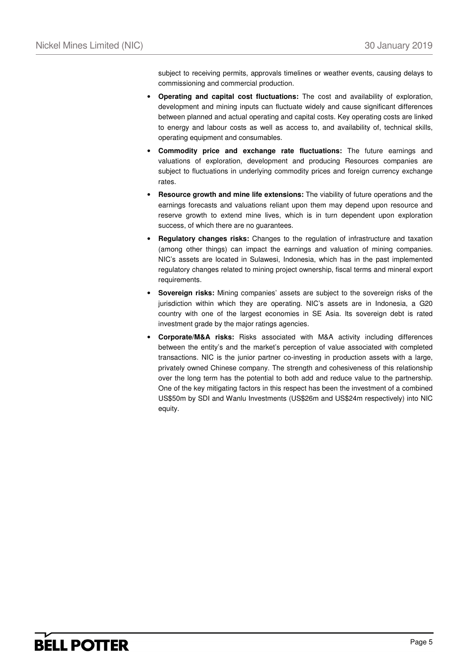subject to receiving permits, approvals timelines or weather events, causing delays to commissioning and commercial production.

- **Operating and capital cost fluctuations:** The cost and availability of exploration, development and mining inputs can fluctuate widely and cause significant differences between planned and actual operating and capital costs. Key operating costs are linked to energy and labour costs as well as access to, and availability of, technical skills, operating equipment and consumables.
- **Commodity price and exchange rate fluctuations:** The future earnings and valuations of exploration, development and producing Resources companies are subject to fluctuations in underlying commodity prices and foreign currency exchange rates.
- **Resource growth and mine life extensions:** The viability of future operations and the earnings forecasts and valuations reliant upon them may depend upon resource and reserve growth to extend mine lives, which is in turn dependent upon exploration success, of which there are no guarantees.
- **Regulatory changes risks:** Changes to the regulation of infrastructure and taxation (among other things) can impact the earnings and valuation of mining companies. NIC's assets are located in Sulawesi, Indonesia, which has in the past implemented regulatory changes related to mining project ownership, fiscal terms and mineral export requirements.
- **Sovereign risks:** Mining companies' assets are subject to the sovereign risks of the jurisdiction within which they are operating. NIC's assets are in Indonesia, a G20 country with one of the largest economies in SE Asia. Its sovereign debt is rated investment grade by the major ratings agencies.
- **Corporate/M&A risks:** Risks associated with M&A activity including differences between the entity's and the market's perception of value associated with completed transactions. NIC is the junior partner co-investing in production assets with a large, privately owned Chinese company. The strength and cohesiveness of this relationship over the long term has the potential to both add and reduce value to the partnership. One of the key mitigating factors in this respect has been the investment of a combined US\$50m by SDI and Wanlu Investments (US\$26m and US\$24m respectively) into NIC equity.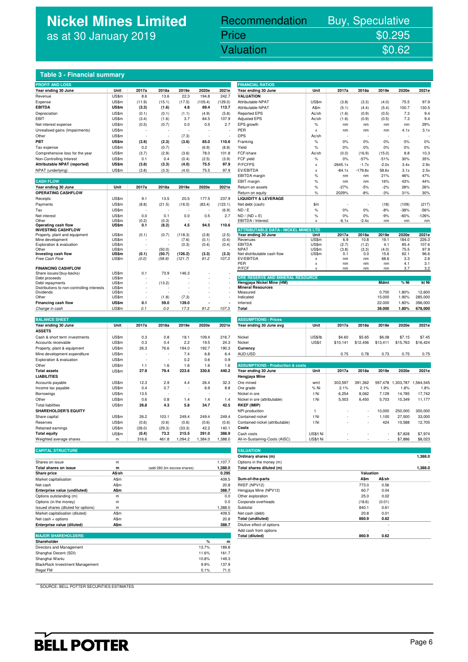## **Nickel Mines Limited** as at 30 January 2019

## Recommendation Buy, Speculative Price \$0.295

## Nickel Mines Limited (Nickel Mines Limited (Nickel Mines Limited Control Mines Limited Control Mines Limited C

#### **Table 3 - Financial summary**

| <b>PROFIT AND LOSS</b>                           |                |                |        |         |         |         | <b>FINANCIAL RATIOS</b>                     |                           |                |             |                 |                |                   |
|--------------------------------------------------|----------------|----------------|--------|---------|---------|---------|---------------------------------------------|---------------------------|----------------|-------------|-----------------|----------------|-------------------|
| Year ending 30 June                              | Unit           | 2017a          | 2018a  | 2019e   | 2020e   | 2021e   | Year ending 30 June                         | Unit                      | 2017a          | 2018a       | 2019e           | 2020e          | 2021e             |
| Revenue                                          | US\$m          | 8.6            | 13.6   | 22.3    | 194.8   | 242.7   | <b>VALUATION</b>                            |                           |                |             |                 |                |                   |
| Expense                                          | US\$m          | (11.9)         | (15.1) | (17.5)  | (105.4) | (129.0) | Attributable NPAT                           | US\$m                     | (3.8)          | (3.3)       | (4.0)           | 75.5           | 97.9              |
| <b>EBITDA</b>                                    | US\$m          | (3.3)          | (1.6)  | 4.8     | 89.4    | 113.7   | Attributable NPAT                           | A\$m                      | (5.1)          | (4.4)       | (5.4)           | 100.7          | 130.5             |
| Depreciation                                     | US\$m          | (0.1)          | (0.1)  | (1.1)   | (4.9)   | (5.8)   | <b>Reported EPS</b>                         | Ac/sh                     | (1.6)          | (0.9)       | (0.5)           | 7.3            | 9.4               |
| <b>EBIT</b>                                      | US\$m          | (3.4)          | (1.6)  | 3.7     | 84.5    | 107.9   | <b>Adjusted EPS</b>                         | Ac/sh                     | (1.6)          | (0.9)       | (0.5)           | 7.3            | 9.4               |
| Net interest expense                             | US\$m          | (0.5)          | (0.7)  | 0.0     | 0.5     | 2.7     | EPS growth                                  | %                         | nm             | nm          | nm              | nm             | 29%               |
| Unrealised gains (Impairments)                   | US\$m          |                |        |         |         |         | PER                                         | $\boldsymbol{\mathsf{x}}$ | nm             | nm          | nm              | 4.1x           | 3.1x              |
| Other                                            | US\$m          |                |        | (7.3)   |         |         | <b>DPS</b>                                  | Ac/sh                     |                |             |                 |                |                   |
| PBT                                              | US\$m          | (3.9)          | (2.3)  | (3.6)   | 85.0    | 110.6   | Franking                                    | $\%$                      | 0%             | 0%          | 0%              | 0%             | 0%                |
| Tax expense                                      | US\$m          | 0.2            | (0.7)  |         | (6.9)   | (8.8)   | Yield                                       | $\%$                      | 0%             | 0%          | 0%              | 0%             | 0%                |
| Comprehensive loss for the year                  | US\$m          | (3.7)          | (2.9)  | (3.6)   | 78.0    | 101.8   | FCF/share                                   | Ac/sh                     | (0.0)          | (16.9)      | (15.0)          | 8.8            | 10.3              |
| Non-Controlling Interest                         | US\$m          | 0.1            | 0.4    | (0.4)   | (2.5)   | (3.9)   | FCF yield                                   | $\%$                      | 0%             | $-57%$      | $-51%$          | 30%            | 35%               |
| Attributable NPAT (reported)                     | US\$m          | (3.8)          | (3.3)  | (4.0)   | 75.5    | 97.9    | P/FCFPS                                     | $\boldsymbol{\mathsf{x}}$ | $-2645.1x$     | $-1.7x$     | $-2.0x$         | 3.4x           | 2.9x              |
| NPAT (underlying)                                | US\$m          | (3.8)          | (3.3)  | (4.0)   | 75.5    | 97.9    | EV/EBITDA                                   |                           |                | $-179.8x$   | 58.6x           |                | 2.5x              |
|                                                  |                |                |        |         |         |         | <b>EBITDA</b> margin                        | X<br>$\%$                 | $-84.1x$<br>nm | nm          | 21%             | 3.1x<br>46%    | 47%               |
| <b>CASH FLOW</b>                                 |                |                |        |         |         |         |                                             | $\%$                      |                |             | 16%             | 43%            | 44%               |
|                                                  | Unit           | 2017a          | 2018a  | 2019e   | 2020e   | 2021e   | EBIT margin                                 |                           | nm<br>$-27%$   | nm<br>$-5%$ | $-2%$           |                |                   |
| Year ending 30 June                              |                |                |        |         |         |         | Return on assets                            | $\%$                      |                |             |                 | 28%            | 26%               |
| OPERATING CASHFLOW                               |                |                |        |         |         |         | Return on equity                            | %                         | 2029%          | $-8%$       | $-3%$           | 31%            | 30%               |
| Receipts                                         | US\$m          | 9.1            | 13.5   | 20.5    | 177.5   | 237.9   | <b>LIQUIDITY &amp; LEVERAGE</b>             |                           |                |             |                 |                |                   |
| Payments                                         | US\$m          | (8.8)          | (21.5) | (16.0)  | (83.4)  | (123.1) | Net debt (cash)                             | \$m                       |                |             | (18)            | (109)          | (217)             |
| Tax                                              | US\$m          |                |        |         |         | (6.9)   | ND / E                                      | $\%$                      | 0%             | $0\%$       | $-8%$           | $-38%$         | $-56%$            |
| Net interest                                     | US\$m          | 0.0            | 0.1    | 0.0     | 0.5     | 2.7     | $ND / (ND + E)$                             | $\frac{9}{6}$             | 0%             | 0%          | $-9%$           | $-60%$         | $-126%$           |
| Other                                            | US\$m<br>US\$m | (0.2)<br>0.1   | (0.3)  | 4.5     | 94.5    | 110.6   | EBITDA / Interest                           | $\boldsymbol{\mathsf{x}}$ | $-6.1x$        | $-2.4x$     | nm              | nm             | nm                |
| Operating cash flow<br><b>INVESTING CASHFLOW</b> |                |                | (8.2)  |         |         |         | <b>ATTRIBUTABLE DATA - NICKEL MINES LTD</b> |                           |                |             |                 |                |                   |
| Property, plant and equipment                    | US\$m          | (0.1)          | (0.7)  | (118.3) | (2.8)   | (2.5)   | Year ending 30 June                         | Unit                      | 2017a          | 2018a       | 2019e           | 2020e          | 2021e             |
| Mine development                                 | US\$m          |                |        | (7.6)   | (0.1)   | (0.4)   | Revenues                                    | US\$m                     | 6.9            | 10.8        | 19.1            | 184.0          | 226.3             |
| Exploration & evaluation                         | US\$m          |                |        | (0.3)   | (0.4)   | (0.4)   | <b>EBITDA</b>                               | <b>US\$m</b>              | (2.7)          | (1.2)       | 4.1             | 85.4           | 107.6             |
| Other                                            | US\$m          |                | (50.0) |         |         |         | <b>NPAT</b>                                 | US\$m                     | (3.8)          | (3.3)       | (4.0)           | 75.5           | 97.9              |
| Investing cash flow                              | US\$m          | (0.1)          | (50.7) | (126.2) | (3.3)   | (3.3)   | Net distributable cash flow                 | US\$m                     | 0.1            | 0.0         | 15.6            | 82.1           | 96.6              |
| Free Cash Flow                                   | US\$m          | (0.0)          | (58.9) | (121.7) | 91.2    | 107.3   | EV/EBITDA<br>PER                            | x<br>X                    | nm<br>nm       | nm<br>nm    | 68.6<br>nm      | 3.3<br>4.1     | 2.6<br>3.1        |
| <b>FINANCING CASHFLOW</b>                        |                |                |        |         |         |         | P/FCF                                       |                           | nm             | nm          | nm              | 3.7            | 3.2               |
| Share issues/(buy-backs)                         | US\$m          | 0.1            | 73.9   | 146.3   |         |         |                                             |                           |                |             |                 |                |                   |
| Debt proceeds                                    | US\$m          |                |        |         |         |         | ORE RESERVE AND MINERAL RESOURCE            |                           |                |             |                 |                |                   |
| Debt repayments                                  | US\$m          |                | (13.2) |         |         |         | Hengjaya Nickel Mine (HM)                   |                           |                |             | Mdmt            | % Ni           | kt Ni             |
| Distributions to non-controlling interests       | US\$m          |                |        |         |         |         | <b>Mineral Resources</b>                    |                           |                |             |                 |                |                   |
| Dividends<br>Other                               | US\$m<br>US\$m | $\overline{a}$ | (1.8)  | (7.3)   |         |         | Measured<br>Indicated                       |                           |                |             | 0.700<br>15.000 | 1.80%<br>1.90% | 12,600<br>285,000 |
| Financing cash flow                              | <b>US\$m</b>   | 0.1            | 59.0   | 139.0   |         |         |                                             |                           |                |             |                 |                |                   |
|                                                  |                |                |        |         |         |         | Inferred                                    |                           |                |             | 22.000          | 1.80%          | 396,000           |
| Change in cash                                   | US\$m          | 0.1            | 0.0    | 17.3    | 91.2    | 107.3   | Total                                       |                           |                |             | 38.000          | 1.80%          | 678,000           |
| <b>BALANCE SHEET</b>                             |                |                |        |         |         |         |                                             |                           |                |             |                 |                |                   |
|                                                  |                |                |        |         |         |         | <b>ASSUMPTIONS - Prices</b>                 |                           |                |             |                 |                | 2021e             |
| Year ending 30 June                              | Unit           | 2017a          | 2018a  | 2019e   | 2020e   | 2021e   | Year ending 30 June avg                     | Unit                      | 2017a          | 2018a       | 2019e           | 2020e          |                   |
| <b>ASSETS</b>                                    |                |                |        |         |         |         |                                             |                           |                |             |                 |                |                   |
| Cash & short term investments                    | US\$m          | 0.3            | 0.8    | 18.1    | 109.4   | 216.7   | Nickel                                      | <b>US\$/lb</b>            | \$4.60         | \$5.65      | \$6.08          | \$7.15         | \$7.45            |
| Accounts receivable                              | US\$m          | 0.3            | 0.4    | 2.2     | 19.5    | 24.3    | Nickel                                      | US\$/t                    | \$10,141       | \$12,456    | \$13,411        | \$15,763       | \$16,424          |
| Property, plant & equipment                      | US\$m          | 26.3           | 76.6   | 194.0   | 192.7   | 190.3   | Currency                                    |                           |                |             |                 |                |                   |
| Mine development expenditure                     | US\$m          |                |        | 7.4     | 6.8     | 6.4     | AUD:USD                                     |                           | 0.75           | 0.78        | 0.73            | 0.75           | 0.75              |
| Exploration & evaluation                         | US\$m          |                |        | 0.2     | 0.6     | 0.9     |                                             |                           |                |             |                 |                |                   |
| Other                                            | US\$m          | 1.1            | 1.6    | 1.6     | 1.6     | 1.6     | <b>ASSUMPTIONS - Production &amp; costs</b> |                           |                |             |                 |                |                   |
| <b>Total assets</b>                              | US\$m          | 27.9           | 79.4   | 223.6   | 330.6   | 440.2   | Year ending 30 June                         | Unit                      | 2017a          | 2018a       | 2019e           | 2020e          | 2021e             |
| <b>LIABILITIES</b>                               |                |                |        |         |         |         | Hengjaya Mine                               |                           |                |             |                 |                |                   |
| Accounts payable                                 | US\$m          | 12.3           | 2.9    | 4.4     | 26.4    | 32.3    | Ore mined                                   | wmt                       | 303,597        | 391,362     | 597,478         | 1,303,787      | 1,564,545         |
| Income tax payable                               | US\$m          | 0.4            | 0.7    |         | 6.9     | 8.8     | Ore grade                                   | % Ni                      | 2.1%           | 2.1%        | 1.9%            | 1.8%           | 1.8%              |
| Borrowings                                       | US\$m          | 13.5           |        |         |         |         | Nickel in ore                               | t Ni                      | 6,254          | 8,062       | 7,129           | 14,785         | 17,742            |
| Other                                            | US\$m          | 0.6            | 0.8    | 1.4     | 1.4     | 1.4     | Nickel in ore (attributable)                | t Ni                      | 5,003          | 6,450       | 5,703           | 10,349         | 11,177            |
| <b>Total liabilities</b>                         | US\$m          | 26.8           | 4.3    | 5.8     | 34.7    | 42.5    | <b>RKEF (IMIP)</b>                          |                           |                |             |                 |                |                   |
| <b>SHAREHOLDER'S EQUITY</b>                      |                |                |        |         |         |         | NPI production                              | $\ddagger$                |                |             | 10,000          | 250,000        | 300,000           |
| Share capital                                    | US\$m          | 26.2           | 103.1  | 249.4   | 249.4   | 249.4   | Contained nickel                            | t Ni                      |                |             | 1,100           | 27,500         | 33,000            |
| Reserves                                         | US\$m          | (0.6)          | (0.6)  | (0.6)   | (0.6)   | (0.6)   | Contained nickel (attributable)             | t Ni                      |                |             | 424             | 10,588         | 12,705            |
| Retained earnings                                | US\$m          | (26.0)         | (29.3) | (33.3)  | 42.2    | 140.1   | Costs                                       |                           |                |             |                 |                |                   |
| <b>Total equity</b>                              | US\$m          | (0.4)          | 73.2   | 215.5   | 291.0   | 388.9   | Cash costs                                  | US\$/t Ni                 |                |             |                 | \$7,828        | \$7,974           |
|                                                  |                |                |        |         |         |         |                                             |                           |                |             |                 |                |                   |
| Weighted average shares                          | m              | 316.6          | 461.8  | 1,094.2 | 1,384.0 | 1,388.0 | All-in-Sustaining-Costs (AISC)              | US\$/t Ni                 |                |             |                 | \$7,886        | \$8,023           |
|                                                  |                |                |        |         |         |         |                                             |                           |                |             |                 |                |                   |
| <b>CAPITAL STRUCTURE</b>                         |                |                |        |         |         |         | <b>VALUATION</b>                            |                           |                |             |                 |                |                   |

|                                     |             |                            |         | -------------              |           |        |         |
|-------------------------------------|-------------|----------------------------|---------|----------------------------|-----------|--------|---------|
|                                     |             |                            |         | Ordinary shares (m)        |           |        | 1,388.0 |
| Shares on issue                     | m           |                            | 1.107.7 | Options in the money (m)   |           |        |         |
| Total shares on issue               | m           | (add 280.3m escrow shares) | 1.388.0 | Total shares diluted (m)   |           |        | 1.388.0 |
| <b>Share price</b>                  | A\$/sh      |                            | 0.295   |                            | Valuation |        |         |
| Market capitalisation               | A\$m        |                            | 409.5   | Sum-of-the-parts           | A\$m      | A\$/sh |         |
| Net cash                            | A\$m        |                            | 20.8    | RKEF (NPV12)               | 773.0     | 0.56   |         |
| Enterprise value (undiluted)        | A\$m        |                            | 388.7   | Hengjaya Mine (NPV12)      | 60.7      | 0.04   |         |
| Options outstanding (m)             | m           |                            | 0.0     | Other exploration          | 25.0      | 0.02   |         |
| Options (in the money)              | m           |                            | 0.0     | Corporate overheads        | (18.6)    | (0.01) |         |
| Issued shares (diluted for options) |             |                            | .388.0  | Subtotal                   | 840.1     | 0.61   |         |
| Market capitalisation (diluted)     | A\$m        |                            | 409.5   | Net cash (debt)            | 20.8      | 0.01   |         |
| Net cash + options                  | A\$m        |                            | 20.8    | <b>Total (undiluted)</b>   | 860.9     | 0.62   |         |
| Enterprise value (diluted)          | <b>A\$m</b> |                            | 388.7   | Dilutive effect of options |           |        |         |
|                                     |             |                            |         | Add coop from ontional     |           |        |         |

| <b>MAJOR SHAREHOLDERS</b>              |       |       | <b>Total (diluted)</b> | 860.9 | 0.62 |
|----------------------------------------|-------|-------|------------------------|-------|------|
| Shareholder                            |       | m     |                        |       |      |
| Directors and Management               | 13.7% | 189.8 |                        |       |      |
| Shanghai Decent (SDI)                  | 11.6% | 161.7 |                        |       |      |
| Shanghai Wanlu                         | 10.8% | 149.3 |                        |       |      |
| <b>BlackRock Investment Management</b> | 9.9%  | 137.9 |                        |       |      |
| Regal FM                               | 5.1%  | 71.0  |                        |       |      |

| <b>FINANCIAL RATIOS</b>                     |               |             |           |                   |           |           |
|---------------------------------------------|---------------|-------------|-----------|-------------------|-----------|-----------|
| Year ending 30 June                         | Unit          | 2017a       | 2018a     | 2019e             | 2020e     | 2021e     |
| <b>VALUATION</b>                            |               |             |           |                   |           |           |
| Attributable NPAT                           | US\$m         | (3.8)       | (3.3)     | (4.0)             | 75.5      | 97.9      |
| Attributable NPAT                           | A\$m          | (5.1)       | (4.4)     | (5.4)             | 100.7     | 130.5     |
| <b>Reported EPS</b>                         | Ac/sh         | (1.6)       | (0.9)     | (0.5)             | 7.3       | 9.4       |
| <b>Adjusted EPS</b>                         | Ac/sh         | (1.6)       | (0.9)     | (0.5)             | 7.3       | 9.4       |
| EPS growth                                  | $\%$          | nm          | nm        | nm                | nm        | 29%       |
| <b>PER</b>                                  | X             | nm          | nm        | nm                | 4.1x      | 3.1x      |
| <b>DPS</b>                                  | Ac/sh         |             |           |                   |           |           |
| Franking                                    | %             | 0%          | 0%        | 0%                | 0%        | 0%        |
| Yield                                       | %             | 0%          | 0%        | 0%                | 0%        | 0%        |
| FCF/share                                   | Ac/sh         | (0.0)       | (16.9)    | (15.0)            | 8.8       | 10.3      |
| FCF yield                                   | $\%$          | 0%          | $-57%$    | $-51%$            | 30%       | 35%       |
| P/FCFPS                                     | X             | $-2645.1x$  | $-1.7x$   | $-2.0x$           | 3.4x      | 2.9x      |
| EV/EBITDA                                   | X             | $-84.1x$    | $-179.8x$ | 58.6x             | 3.1x      | 2.5x      |
| EBITDA margin                               | %             | nm          | nm        | 21%               | 46%       | 47%       |
| EBIT margin                                 | %             | nm          | nm        | 16%               | 43%       | 44%       |
|                                             |               |             |           |                   |           |           |
| Return on assets                            | %             | $-27%$      | $-5%$     | $-2%$             | 28%       | 26%       |
| Return on equity                            | %             | 2029%       | $-8%$     | $-3%$             | 31%       | 30%       |
| <b>LIQUIDITY &amp; LEVERAGE</b>             |               |             |           |                   |           |           |
| Net debt (cash)                             | \$m           |             |           | (18)              | (109)     | (217)     |
| ND / E                                      | %             | 0%          | 0%        | $-8%$             | $-38%$    | $-56%$    |
| $ND / (ND + E)$                             | %             | 0%          | 0%        | $-9%$             | $-60%$    | $-126%$   |
| EBITDA / Interest                           | x             | -6.1x       | $-2.4x$   | nm                | nm        | nm        |
| <b>ATTRIBUTABLE DATA - NICKEL MINES LTD</b> |               |             |           |                   |           |           |
| Year ending 30 June                         | Unit          | 2017a       | 2018a     | 2019e             | 2020e     | 2021e     |
| Revenues                                    | US\$m         | 6.9         | 10.8      | 19.1              | 184.0     | 226.3     |
| EBITDA                                      | US\$m         | (2.7)       | (1.2)     | 4.1               | 85.4      | 107.6     |
| <b>NPAT</b>                                 | US\$m         | (3.8)       | (3.3)     | (4.0)             | 75.5      | 97.9      |
| Net distributable cash flow                 | US\$m         | 0.1         | 0.0       | 15.6              | 82.1      | 96.6      |
| EV/EBITDA                                   | x             | nm          | nm        | 68.6              | 3.3       | 2.6       |
| PFR                                         | X             | nm          | nm        | nm                | 4.1       | 3.1       |
| P/FCF                                       | X             | nm          | nm        | nm                | 3.7       | 3.2       |
| ORE RESERVE AND MINERAL RESOURCE            |               |             |           |                   |           |           |
| Hengjaya Nickel Mine (HM)                   |               |             |           | Mdmt              | % Ni      | kt Ni     |
| <b>Mineral Resources</b>                    |               |             |           |                   |           |           |
| Measured                                    |               |             |           | 0.700             | 1.80%     | 12,600    |
| Indicated                                   |               |             |           | 15.000            | 1.90%     | 285,000   |
| Inferred                                    |               |             |           | 22.000            | 1.80%     | 396,000   |
| Total                                       |               |             |           | 38.000            | 1.80%     | 678,000   |
|                                             |               |             |           |                   |           |           |
| <b>ASSUMPTIONS - Prices</b>                 |               |             |           |                   |           |           |
| Year ending 30 June avg                     | Unit          | 2017a       | 2018a     | 2019e             | 2020e     | 2021e     |
|                                             |               |             |           |                   |           |           |
| Nickel                                      | US\$/lb       | \$4.60      | \$5.65    | \$6.08            | \$7.15    | \$7.45    |
| Nickel                                      | <b>US\$/t</b> | \$10,141    | \$12,456  | \$13,411          | \$15,763  | \$16,424  |
| Currency                                    |               |             |           |                   |           |           |
| AUD:USD                                     |               | 0.75        | 0.78      | 0.73              | 0.75      | 0.75      |
|                                             |               |             |           |                   |           |           |
| <b>ASSUMPTIONS - Production &amp; costs</b> |               |             |           |                   |           |           |
| Year ending 30 June                         | Unit          | Ĵ.<br>2017a | 2018a     | 2019e             | 2020e     | 2021e     |
| Hengjaya Mine                               |               |             |           |                   |           |           |
| Ore mined                                   | wmt           | 303,597     | 391,362   | 597,478           | 1,303,787 | 1,564,545 |
| Ore grade                                   | % Ni          | 2.1%        | 2.1%      | 1.9%              | 1.8%      | 1.8%      |
| Nickel in ore                               | t Ni          | 6,254       | 8,062     | 7,129             | 14.785    | 17,742    |
| Nickel in ore (attributable)                | t Ni          | 5,003       | 6,450     | 5,703             | 10,349    | 11,177    |
| RKEF (IMIP)                                 |               |             |           |                   |           |           |
| NPI production                              | t             |             |           | 10,000            | 250,000   | 300,000   |
| Contained nickel                            | t Ni          |             |           | 1,100             | 27,500    | 33,000    |
|                                             |               |             |           |                   |           |           |
| Contained nickel (attributable)             | t Ni          |             |           | 424               | 10,588    | 12,705    |
| Costs                                       |               |             |           |                   |           |           |
| Cash costs                                  | US\$/t Ni     |             |           |                   | \$7,828   | \$7,974   |
| All-in-Sustaining-Costs (AISC)              | US\$/t Ni     |             |           |                   | \$7,886   | \$8,023   |
|                                             |               |             |           |                   |           |           |
| <b>VALUATION</b>                            |               |             |           |                   |           |           |
| Ordinary shares (m)                         |               |             |           |                   |           | 1,388.0   |
| Options in the money (m)                    |               |             |           |                   |           |           |
| Total shares diluted (m)                    |               |             |           | <b>CONTRACTOR</b> |           | 1,388.0   |
|                                             |               |             | Valuation |                   |           |           |
| Sum-of-the-parts                            |               |             | A\$m      | A\$/sh            |           |           |
| RKEF (NPV12)                                |               |             | 773.0     | 0.56              |           |           |
| Hengjaya Mine (NPV12)                       |               |             | 60.7      | 0.04              |           |           |
| Other exploration                           |               |             | 25.0      | 0.02              |           |           |
| Corporate overheads                         |               |             | (18.6)    | (0.01)            |           |           |
| Subtotal                                    |               |             | 840.1     | 0.61              |           |           |
| Net cash (debt)                             |               |             | 20.8      | 0.01              |           |           |
| Total (undiluted)                           |               |             | 860.9     | 0.62              |           |           |
| Dilutive effect of options                  |               |             |           |                   |           |           |
|                                             |               |             |           |                   |           |           |
| Add cash from options                       |               |             | 860.9     | 0.62              |           |           |
| <b>Total (diluted)</b>                      |               |             |           |                   |           |           |

SOURCE: BELL POTTER SECURITIES ESTIMATES